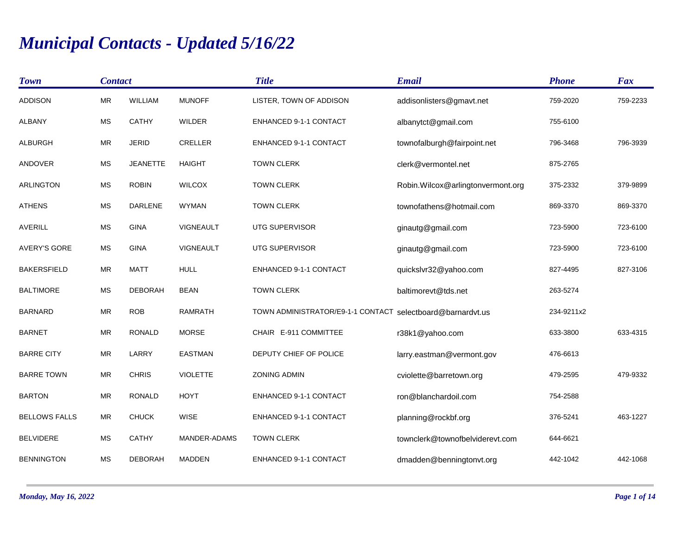## *Municipal Contacts - Updated 5/16/22*

| <b>Town</b>          | <b>Contact</b> |                 |                 | <b>Title</b>                      | <b>Email</b>                      | <b>Phone</b> | Fax      |
|----------------------|----------------|-----------------|-----------------|-----------------------------------|-----------------------------------|--------------|----------|
| <b>ADDISON</b>       | <b>MR</b>      | WILLIAM         | <b>MUNOFF</b>   | LISTER, TOWN OF ADDISON           | addisonlisters@gmavt.net          | 759-2020     | 759-2233 |
| <b>ALBANY</b>        | <b>MS</b>      | <b>CATHY</b>    | <b>WILDER</b>   | ENHANCED 9-1-1 CONTACT            | albanytct@gmail.com               | 755-6100     |          |
| <b>ALBURGH</b>       | <b>MR</b>      | <b>JERID</b>    | <b>CRELLER</b>  | ENHANCED 9-1-1 CONTACT            | townofalburgh@fairpoint.net       | 796-3468     | 796-3939 |
| <b>ANDOVER</b>       | <b>MS</b>      | <b>JEANETTE</b> | <b>HAIGHT</b>   | <b>TOWN CLERK</b>                 | clerk@vermontel.net               | 875-2765     |          |
| <b>ARLINGTON</b>     | <b>MS</b>      | <b>ROBIN</b>    | <b>WILCOX</b>   | <b>TOWN CLERK</b>                 | Robin.Wilcox@arlingtonvermont.org | 375-2332     | 379-9899 |
| <b>ATHENS</b>        | <b>MS</b>      | <b>DARLENE</b>  | <b>WYMAN</b>    | <b>TOWN CLERK</b>                 | townofathens@hotmail.com          | 869-3370     | 869-3370 |
| <b>AVERILL</b>       | <b>MS</b>      | <b>GINA</b>     | VIGNEAULT       | UTG SUPERVISOR                    | ginautg@gmail.com                 | 723-5900     | 723-6100 |
| <b>AVERY'S GORE</b>  | MS             | <b>GINA</b>     | VIGNEAULT       | UTG SUPERVISOR                    | ginautg@gmail.com                 | 723-5900     | 723-6100 |
| <b>BAKERSFIELD</b>   | <b>MR</b>      | <b>MATT</b>     | <b>HULL</b>     | <b>ENHANCED 9-1-1 CONTACT</b>     | quickslvr32@yahoo.com             | 827-4495     | 827-3106 |
| <b>BALTIMORE</b>     | <b>MS</b>      | <b>DEBORAH</b>  | <b>BEAN</b>     | <b>TOWN CLERK</b>                 | baltimorevt@tds.net               | 263-5274     |          |
| <b>BARNARD</b>       | <b>MR</b>      | <b>ROB</b>      | <b>RAMRATH</b>  | TOWN ADMINISTRATOR/E9-1-1 CONTACT | selectboard@barnardvt.us          | 234-9211x2   |          |
| <b>BARNET</b>        | <b>MR</b>      | <b>RONALD</b>   | <b>MORSE</b>    | CHAIR E-911 COMMITTEE             | r38k1@yahoo.com                   | 633-3800     | 633-4315 |
| <b>BARRE CITY</b>    | <b>MR</b>      | LARRY           | <b>EASTMAN</b>  | DEPUTY CHIEF OF POLICE            | larry.eastman@vermont.gov         | 476-6613     |          |
| <b>BARRE TOWN</b>    | <b>MR</b>      | <b>CHRIS</b>    | <b>VIOLETTE</b> | <b>ZONING ADMIN</b>               | cviolette@barretown.org           | 479-2595     | 479-9332 |
| <b>BARTON</b>        | <b>MR</b>      | <b>RONALD</b>   | <b>HOYT</b>     | ENHANCED 9-1-1 CONTACT            | ron@blanchardoil.com              | 754-2588     |          |
| <b>BELLOWS FALLS</b> | <b>MR</b>      | <b>CHUCK</b>    | <b>WISE</b>     | ENHANCED 9-1-1 CONTACT            | planning@rockbf.org               | 376-5241     | 463-1227 |
| <b>BELVIDERE</b>     | <b>MS</b>      | <b>CATHY</b>    | MANDER-ADAMS    | <b>TOWN CLERK</b>                 | townclerk@townofbelviderevt.com   | 644-6621     |          |
| <b>BENNINGTON</b>    | <b>MS</b>      | <b>DEBORAH</b>  | <b>MADDEN</b>   | ENHANCED 9-1-1 CONTACT            | dmadden@benningtonvt.org          | 442-1042     | 442-1068 |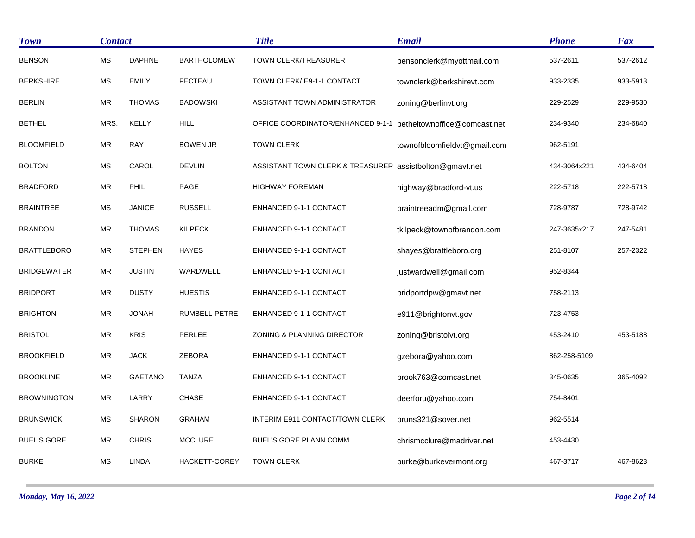| <b>Town</b>        | <b>Contact</b> |                |                      | <b>Title</b>                                            | <b>Email</b>                 | <b>Phone</b> | <b>Fax</b> |
|--------------------|----------------|----------------|----------------------|---------------------------------------------------------|------------------------------|--------------|------------|
| <b>BENSON</b>      | <b>MS</b>      | <b>DAPHNE</b>  | <b>BARTHOLOMEW</b>   | <b>TOWN CLERK/TREASURER</b>                             | bensonclerk@myottmail.com    | 537-2611     | 537-2612   |
| <b>BERKSHIRE</b>   | MS             | <b>EMILY</b>   | <b>FECTEAU</b>       | TOWN CLERK/ E9-1-1 CONTACT                              | townclerk@berkshirevt.com    | 933-2335     | 933-5913   |
| <b>BERLIN</b>      | <b>MR</b>      | <b>THOMAS</b>  | <b>BADOWSKI</b>      | ASSISTANT TOWN ADMINISTRATOR                            | zoning@berlinvt.org          | 229-2529     | 229-9530   |
| <b>BETHEL</b>      | MRS.           | KELLY          | <b>HILL</b>          | OFFICE COORDINATOR/ENHANCED 9-1-1                       | betheltownoffice@comcast.net | 234-9340     | 234-6840   |
| <b>BLOOMFIELD</b>  | <b>MR</b>      | <b>RAY</b>     | <b>BOWEN JR</b>      | <b>TOWN CLERK</b>                                       | townofbloomfieldvt@gmail.com | 962-5191     |            |
| <b>BOLTON</b>      | <b>MS</b>      | CAROL          | <b>DEVLIN</b>        | ASSISTANT TOWN CLERK & TREASURER assistbolton@gmavt.net |                              | 434-3064x221 | 434-6404   |
| <b>BRADFORD</b>    | MR             | PHIL           | PAGE                 | <b>HIGHWAY FOREMAN</b>                                  | highway@bradford-vt.us       | 222-5718     | 222-5718   |
| <b>BRAINTREE</b>   | <b>MS</b>      | <b>JANICE</b>  | <b>RUSSELL</b>       | ENHANCED 9-1-1 CONTACT                                  | braintreeadm@gmail.com       | 728-9787     | 728-9742   |
| <b>BRANDON</b>     | <b>MR</b>      | <b>THOMAS</b>  | KILPECK              | ENHANCED 9-1-1 CONTACT                                  | tkilpeck@townofbrandon.com   | 247-3635x217 | 247-5481   |
| <b>BRATTLEBORO</b> | <b>MR</b>      | <b>STEPHEN</b> | <b>HAYES</b>         | ENHANCED 9-1-1 CONTACT                                  | shayes@brattleboro.org       | 251-8107     | 257-2322   |
| <b>BRIDGEWATER</b> | <b>MR</b>      | <b>JUSTIN</b>  | WARDWELL             | ENHANCED 9-1-1 CONTACT                                  | justwardwell@gmail.com       | 952-8344     |            |
| <b>BRIDPORT</b>    | MR             | <b>DUSTY</b>   | <b>HUESTIS</b>       | ENHANCED 9-1-1 CONTACT                                  | bridportdpw@gmavt.net        | 758-2113     |            |
| <b>BRIGHTON</b>    | <b>MR</b>      | <b>JONAH</b>   | RUMBELL-PETRE        | ENHANCED 9-1-1 CONTACT                                  | e911@brightonvt.gov          | 723-4753     |            |
| <b>BRISTOL</b>     | <b>MR</b>      | <b>KRIS</b>    | PERLEE               | ZONING & PLANNING DIRECTOR                              | zoning@bristolvt.org         | 453-2410     | 453-5188   |
| <b>BROOKFIELD</b>  | <b>MR</b>      | <b>JACK</b>    | <b>ZEBORA</b>        | ENHANCED 9-1-1 CONTACT                                  | gzebora@yahoo.com            | 862-258-5109 |            |
| <b>BROOKLINE</b>   | <b>MR</b>      | <b>GAETANO</b> | <b>TANZA</b>         | ENHANCED 9-1-1 CONTACT                                  | brook763@comcast.net         | 345-0635     | 365-4092   |
| <b>BROWNINGTON</b> | <b>MR</b>      | LARRY          | <b>CHASE</b>         | ENHANCED 9-1-1 CONTACT                                  | deerforu@yahoo.com           | 754-8401     |            |
| <b>BRUNSWICK</b>   | <b>MS</b>      | <b>SHARON</b>  | <b>GRAHAM</b>        | INTERIM E911 CONTACT/TOWN CLERK                         | bruns321@sover.net           | 962-5514     |            |
| <b>BUEL'S GORE</b> | <b>MR</b>      | <b>CHRIS</b>   | <b>MCCLURE</b>       | BUEL'S GORE PLANN COMM                                  | chrismcclure@madriver.net    | 453-4430     |            |
| <b>BURKE</b>       | МS             | <b>LINDA</b>   | <b>HACKETT-COREY</b> | <b>TOWN CLERK</b>                                       | burke@burkevermont.org       | 467-3717     | 467-8623   |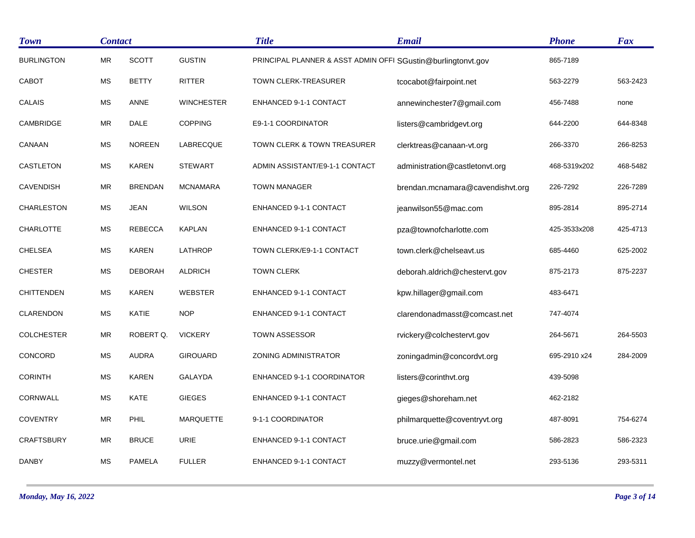| <b>Town</b>       | <b>Contact</b> |                |                   | <b>Title</b>                                                 | <b>Email</b>                     | <b>Phone</b> | <b>Fax</b> |
|-------------------|----------------|----------------|-------------------|--------------------------------------------------------------|----------------------------------|--------------|------------|
| <b>BURLINGTON</b> | <b>MR</b>      | <b>SCOTT</b>   | <b>GUSTIN</b>     | PRINCIPAL PLANNER & ASST ADMIN OFFI SGustin@burlingtonvt.gov |                                  | 865-7189     |            |
| CABOT             | <b>MS</b>      | <b>BETTY</b>   | <b>RITTER</b>     | <b>TOWN CLERK-TREASURER</b>                                  | tcocabot@fairpoint.net           | 563-2279     | 563-2423   |
| <b>CALAIS</b>     | <b>MS</b>      | <b>ANNE</b>    | <b>WINCHESTER</b> | <b>ENHANCED 9-1-1 CONTACT</b>                                | annewinchester7@gmail.com        | 456-7488     | none       |
| CAMBRIDGE         | ${\sf MR}$     | <b>DALE</b>    | <b>COPPING</b>    | E9-1-1 COORDINATOR                                           | listers@cambridgevt.org          | 644-2200     | 644-8348   |
| CANAAN            | <b>MS</b>      | <b>NOREEN</b>  | LABRECQUE         | TOWN CLERK & TOWN TREASURER                                  | clerktreas@canaan-vt.org         | 266-3370     | 266-8253   |
| CASTLETON         | <b>MS</b>      | <b>KAREN</b>   | <b>STEWART</b>    | ADMIN ASSISTANT/E9-1-1 CONTACT                               | administration@castletonvt.org   | 468-5319x202 | 468-5482   |
| <b>CAVENDISH</b>  | ${\sf MR}$     | <b>BRENDAN</b> | <b>MCNAMARA</b>   | <b>TOWN MANAGER</b>                                          | brendan.mcnamara@cavendishvt.org | 226-7292     | 226-7289   |
| <b>CHARLESTON</b> | <b>MS</b>      | <b>JEAN</b>    | <b>WILSON</b>     | ENHANCED 9-1-1 CONTACT                                       | jeanwilson55@mac.com             | 895-2814     | 895-2714   |
| <b>CHARLOTTE</b>  | <b>MS</b>      | <b>REBECCA</b> | <b>KAPLAN</b>     | <b>ENHANCED 9-1-1 CONTACT</b>                                | pza@townofcharlotte.com          | 425-3533x208 | 425-4713   |
| <b>CHELSEA</b>    | MS             | <b>KAREN</b>   | LATHROP           | TOWN CLERK/E9-1-1 CONTACT                                    | town.clerk@chelseavt.us          | 685-4460     | 625-2002   |
| <b>CHESTER</b>    | <b>MS</b>      | <b>DEBORAH</b> | <b>ALDRICH</b>    | <b>TOWN CLERK</b>                                            | deborah.aldrich@chestervt.gov    | 875-2173     | 875-2237   |
| <b>CHITTENDEN</b> | <b>MS</b>      | <b>KAREN</b>   | <b>WEBSTER</b>    | ENHANCED 9-1-1 CONTACT                                       | kpw.hillager@gmail.com           | 483-6471     |            |
| <b>CLARENDON</b>  | <b>MS</b>      | <b>KATIE</b>   | <b>NOP</b>        | <b>ENHANCED 9-1-1 CONTACT</b>                                | clarendonadmasst@comcast.net     | 747-4074     |            |
| <b>COLCHESTER</b> | ${\sf MR}$     | ROBERT Q.      | <b>VICKERY</b>    | <b>TOWN ASSESSOR</b>                                         | rvickery@colchestervt.gov        | 264-5671     | 264-5503   |
| CONCORD           | MS             | <b>AUDRA</b>   | <b>GIROUARD</b>   | ZONING ADMINISTRATOR                                         | zoningadmin@concordvt.org        | 695-2910 x24 | 284-2009   |
| <b>CORINTH</b>    | <b>MS</b>      | <b>KAREN</b>   | <b>GALAYDA</b>    | ENHANCED 9-1-1 COORDINATOR                                   | listers@corinthvt.org            | 439-5098     |            |
| CORNWALL          | <b>MS</b>      | <b>KATE</b>    | <b>GIEGES</b>     | ENHANCED 9-1-1 CONTACT                                       | gieges@shoreham.net              | 462-2182     |            |
| <b>COVENTRY</b>   | ${\sf MR}$     | PHIL           | <b>MARQUETTE</b>  | 9-1-1 COORDINATOR                                            | philmarquette@coventryvt.org     | 487-8091     | 754-6274   |
| <b>CRAFTSBURY</b> | ${\sf MR}$     | <b>BRUCE</b>   | URIE              | ENHANCED 9-1-1 CONTACT                                       | bruce.urie@gmail.com             | 586-2823     | 586-2323   |
| DANBY             | MS             | <b>PAMELA</b>  | <b>FULLER</b>     | ENHANCED 9-1-1 CONTACT                                       | muzzy@vermontel.net              | 293-5136     | 293-5311   |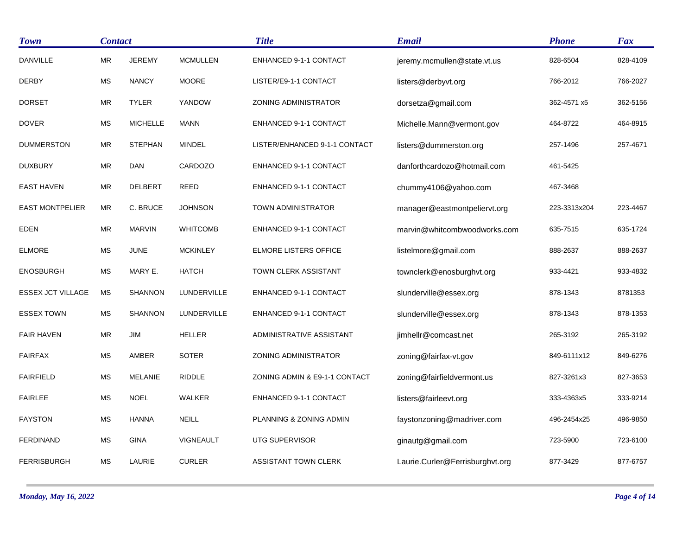| <b>Town</b>              | <b>Contact</b> |                 |                 | <b>Title</b>                  | <b>Email</b>                    | <b>Phone</b> | <b>Fax</b> |
|--------------------------|----------------|-----------------|-----------------|-------------------------------|---------------------------------|--------------|------------|
| <b>DANVILLE</b>          | <b>MR</b>      | <b>JEREMY</b>   | <b>MCMULLEN</b> | ENHANCED 9-1-1 CONTACT        | jeremy.mcmullen@state.vt.us     | 828-6504     | 828-4109   |
| <b>DERBY</b>             | <b>MS</b>      | <b>NANCY</b>    | <b>MOORE</b>    | LISTER/E9-1-1 CONTACT         | listers@derbyvt.org             | 766-2012     | 766-2027   |
| <b>DORSET</b>            | <b>MR</b>      | <b>TYLER</b>    | YANDOW          | ZONING ADMINISTRATOR          | dorsetza@gmail.com              | 362-4571 x5  | 362-5156   |
| <b>DOVER</b>             | <b>MS</b>      | <b>MICHELLE</b> | <b>MANN</b>     | ENHANCED 9-1-1 CONTACT        | Michelle.Mann@vermont.gov       | 464-8722     | 464-8915   |
| <b>DUMMERSTON</b>        | <b>MR</b>      | <b>STEPHAN</b>  | <b>MINDEL</b>   | LISTER/ENHANCED 9-1-1 CONTACT | listers@dummerston.org          | 257-1496     | 257-4671   |
| <b>DUXBURY</b>           | MR             | <b>DAN</b>      | CARDOZO         | ENHANCED 9-1-1 CONTACT        | danforthcardozo@hotmail.com     | 461-5425     |            |
| <b>EAST HAVEN</b>        | <b>MR</b>      | <b>DELBERT</b>  | <b>REED</b>     | <b>ENHANCED 9-1-1 CONTACT</b> | chummy4106@yahoo.com            | 467-3468     |            |
| <b>EAST MONTPELIER</b>   | MR             | C. BRUCE        | <b>JOHNSON</b>  | TOWN ADMINISTRATOR            | manager@eastmontpeliervt.org    | 223-3313x204 | 223-4467   |
| <b>EDEN</b>              | <b>MR</b>      | <b>MARVIN</b>   | <b>WHITCOMB</b> | <b>ENHANCED 9-1-1 CONTACT</b> | marvin@whitcombwoodworks.com    | 635-7515     | 635-1724   |
| <b>ELMORE</b>            | <b>MS</b>      | <b>JUNE</b>     | <b>MCKINLEY</b> | <b>ELMORE LISTERS OFFICE</b>  | listelmore@gmail.com            | 888-2637     | 888-2637   |
| <b>ENOSBURGH</b>         | <b>MS</b>      | MARY E.         | <b>HATCH</b>    | TOWN CLERK ASSISTANT          | townclerk@enosburghvt.org       | 933-4421     | 933-4832   |
| <b>ESSEX JCT VILLAGE</b> | <b>MS</b>      | <b>SHANNON</b>  | LUNDERVILLE     | ENHANCED 9-1-1 CONTACT        | slunderville@essex.org          | 878-1343     | 8781353    |
| <b>ESSEX TOWN</b>        | <b>MS</b>      | <b>SHANNON</b>  | LUNDERVILLE     | ENHANCED 9-1-1 CONTACT        | slunderville@essex.org          | 878-1343     | 878-1353   |
| <b>FAIR HAVEN</b>        | MR             | JIM             | <b>HELLER</b>   | ADMINISTRATIVE ASSISTANT      | jimhellr@comcast.net            | 265-3192     | 265-3192   |
| <b>FAIRFAX</b>           | <b>MS</b>      | AMBER           | <b>SOTER</b>    | ZONING ADMINISTRATOR          | zoning@fairfax-vt.gov           | 849-6111x12  | 849-6276   |
| <b>FAIRFIELD</b>         | <b>MS</b>      | <b>MELANIE</b>  | <b>RIDDLE</b>   | ZONING ADMIN & E9-1-1 CONTACT | zoning@fairfieldvermont.us      | 827-3261x3   | 827-3653   |
| <b>FAIRLEE</b>           | <b>MS</b>      | <b>NOEL</b>     | <b>WALKER</b>   | ENHANCED 9-1-1 CONTACT        | listers@fairleevt.org           | 333-4363x5   | 333-9214   |
| <b>FAYSTON</b>           | <b>MS</b>      | <b>HANNA</b>    | <b>NEILL</b>    | PLANNING & ZONING ADMIN       | faystonzoning@madriver.com      | 496-2454x25  | 496-9850   |
| <b>FERDINAND</b>         | <b>MS</b>      | <b>GINA</b>     | VIGNEAULT       | <b>UTG SUPERVISOR</b>         | ginautg@gmail.com               | 723-5900     | 723-6100   |
| <b>FERRISBURGH</b>       | <b>MS</b>      | LAURIE          | <b>CURLER</b>   | ASSISTANT TOWN CLERK          | Laurie.Curler@Ferrisburghvt.org | 877-3429     | 877-6757   |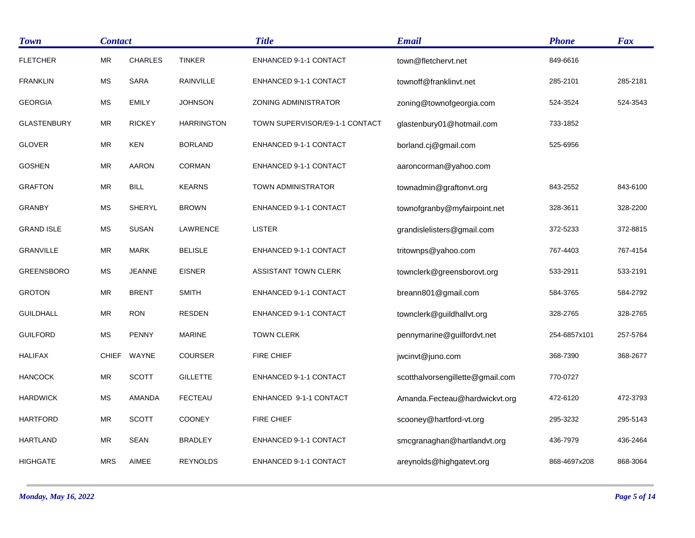| <b>Town</b>        | <b>Contact</b>       |                |                   | <b>Title</b>                   | <b>Email</b>                     | <b>Phone</b> | <b>Fax</b> |
|--------------------|----------------------|----------------|-------------------|--------------------------------|----------------------------------|--------------|------------|
| <b>FLETCHER</b>    | <b>MR</b>            | <b>CHARLES</b> | <b>TINKER</b>     | ENHANCED 9-1-1 CONTACT         | town@fletchervt.net              | 849-6616     |            |
| <b>FRANKLIN</b>    | $\mathsf{MS}\xspace$ | <b>SARA</b>    | RAINVILLE         | ENHANCED 9-1-1 CONTACT         | townoff@franklinvt.net           | 285-2101     | 285-2181   |
| <b>GEORGIA</b>     | <b>MS</b>            | <b>EMILY</b>   | <b>JOHNSON</b>    | <b>ZONING ADMINISTRATOR</b>    | zoning@townofgeorgia.com         | 524-3524     | 524-3543   |
| <b>GLASTENBURY</b> | MR                   | <b>RICKEY</b>  | <b>HARRINGTON</b> | TOWN SUPERVISOR/E9-1-1 CONTACT | glastenbury01@hotmail.com        | 733-1852     |            |
| <b>GLOVER</b>      | <b>MR</b>            | <b>KEN</b>     | <b>BORLAND</b>    | ENHANCED 9-1-1 CONTACT         | borland.cj@gmail.com             | 525-6956     |            |
| <b>GOSHEN</b>      | <b>MR</b>            | <b>AARON</b>   | <b>CORMAN</b>     | ENHANCED 9-1-1 CONTACT         | aaroncorman@yahoo.com            |              |            |
| <b>GRAFTON</b>     | <b>MR</b>            | <b>BILL</b>    | <b>KEARNS</b>     | TOWN ADMINISTRATOR             | townadmin@graftonvt.org          | 843-2552     | 843-6100   |
| <b>GRANBY</b>      | <b>MS</b>            | <b>SHERYL</b>  | <b>BROWN</b>      | ENHANCED 9-1-1 CONTACT         | townofgranby@myfairpoint.net     | 328-3611     | 328-2200   |
| <b>GRAND ISLE</b>  | <b>MS</b>            | <b>SUSAN</b>   | LAWRENCE          | <b>LISTER</b>                  | grandislelisters@gmail.com       | 372-5233     | 372-8815   |
| <b>GRANVILLE</b>   | MR                   | <b>MARK</b>    | <b>BELISLE</b>    | ENHANCED 9-1-1 CONTACT         | tritownps@yahoo.com              | 767-4403     | 767-4154   |
| <b>GREENSBORO</b>  | MS                   | <b>JEANNE</b>  | <b>EISNER</b>     | <b>ASSISTANT TOWN CLERK</b>    | townclerk@greensborovt.org       | 533-2911     | 533-2191   |
| <b>GROTON</b>      | <b>MR</b>            | <b>BRENT</b>   | <b>SMITH</b>      | ENHANCED 9-1-1 CONTACT         | breann801@gmail.com              | 584-3765     | 584-2792   |
| <b>GUILDHALL</b>   | <b>MR</b>            | <b>RON</b>     | <b>RESDEN</b>     | ENHANCED 9-1-1 CONTACT         | townclerk@guildhallvt.org        | 328-2765     | 328-2765   |
| <b>GUILFORD</b>    | <b>MS</b>            | <b>PENNY</b>   | <b>MARINE</b>     | <b>TOWN CLERK</b>              | pennymarine@guilfordvt.net       | 254-6857x101 | 257-5764   |
| HALIFAX            |                      | CHIEF WAYNE    | <b>COURSER</b>    | <b>FIRE CHIEF</b>              | jwcinvt@juno.com                 | 368-7390     | 368-2677   |
| <b>HANCOCK</b>     | <b>MR</b>            | <b>SCOTT</b>   | <b>GILLETTE</b>   | ENHANCED 9-1-1 CONTACT         | scotthalvorsengillette@gmail.com | 770-0727     |            |
| <b>HARDWICK</b>    | <b>MS</b>            | <b>AMANDA</b>  | <b>FECTEAU</b>    | ENHANCED 9-1-1 CONTACT         | Amanda.Fecteau@hardwickvt.org    | 472-6120     | 472-3793   |
| <b>HARTFORD</b>    | <b>MR</b>            | <b>SCOTT</b>   | <b>COONEY</b>     | FIRE CHIEF                     | scooney@hartford-vt.org          | 295-3232     | 295-5143   |
| <b>HARTLAND</b>    | ${\sf MR}$           | <b>SEAN</b>    | <b>BRADLEY</b>    | ENHANCED 9-1-1 CONTACT         | smcgranaghan@hartlandvt.org      | 436-7979     | 436-2464   |
| <b>HIGHGATE</b>    | <b>MRS</b>           | AIMEE          | <b>REYNOLDS</b>   | ENHANCED 9-1-1 CONTACT         | areynolds@highgatevt.org         | 868-4697x208 | 868-3064   |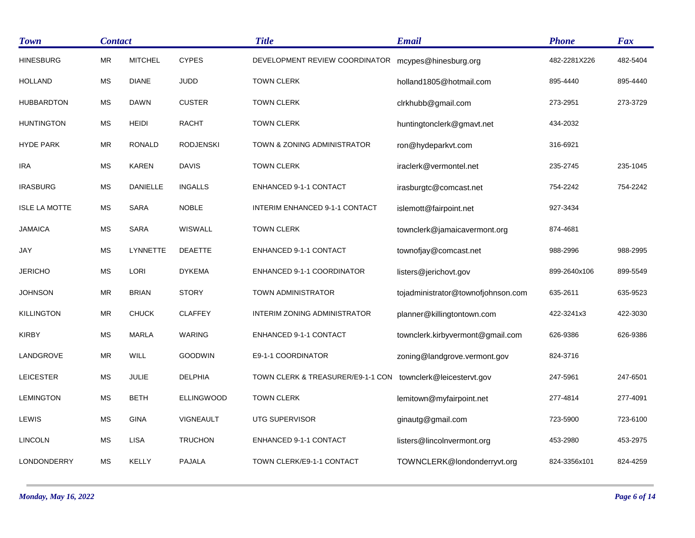| <b>Town</b>          |           | <b>Contact</b>  |                   | <b>Title</b>                      | <b>Email</b>                       | <b>Phone</b> | <b>Fax</b> |
|----------------------|-----------|-----------------|-------------------|-----------------------------------|------------------------------------|--------------|------------|
| <b>HINESBURG</b>     | <b>MR</b> | <b>MITCHEL</b>  | <b>CYPES</b>      | DEVELOPMENT REVIEW COORDINATOR    | mcypes@hinesburg.org               | 482-2281X226 | 482-5404   |
| <b>HOLLAND</b>       | MS        | <b>DIANE</b>    | JUDD              | <b>TOWN CLERK</b>                 | holland1805@hotmail.com            | 895-4440     | 895-4440   |
| <b>HUBBARDTON</b>    | <b>MS</b> | <b>DAWN</b>     | <b>CUSTER</b>     | <b>TOWN CLERK</b>                 | clrkhubb@gmail.com                 | 273-2951     | 273-3729   |
| <b>HUNTINGTON</b>    | <b>MS</b> | <b>HEIDI</b>    | <b>RACHT</b>      | <b>TOWN CLERK</b>                 | huntingtonclerk@gmavt.net          | 434-2032     |            |
| <b>HYDE PARK</b>     | <b>MR</b> | <b>RONALD</b>   | <b>RODJENSKI</b>  | TOWN & ZONING ADMINISTRATOR       | ron@hydeparkvt.com                 | 316-6921     |            |
| <b>IRA</b>           | <b>MS</b> | <b>KAREN</b>    | <b>DAVIS</b>      | <b>TOWN CLERK</b>                 | iraclerk@vermontel.net             | 235-2745     | 235-1045   |
| <b>IRASBURG</b>      | MS        | <b>DANIELLE</b> | <b>INGALLS</b>    | ENHANCED 9-1-1 CONTACT            | irasburgtc@comcast.net             | 754-2242     | 754-2242   |
| <b>ISLE LA MOTTE</b> | <b>MS</b> | <b>SARA</b>     | <b>NOBLE</b>      | INTERIM ENHANCED 9-1-1 CONTACT    | islemott@fairpoint.net             | 927-3434     |            |
| <b>JAMAICA</b>       | MS        | <b>SARA</b>     | WISWALL           | <b>TOWN CLERK</b>                 | townclerk@jamaicavermont.org       | 874-4681     |            |
| JAY                  | <b>MS</b> | LYNNETTE        | <b>DEAETTE</b>    | ENHANCED 9-1-1 CONTACT            | townofjay@comcast.net              | 988-2996     | 988-2995   |
| <b>JERICHO</b>       | <b>MS</b> | <b>LORI</b>     | <b>DYKEMA</b>     | ENHANCED 9-1-1 COORDINATOR        | listers@jerichovt.gov              | 899-2640x106 | 899-5549   |
| <b>JOHNSON</b>       | MR        | <b>BRIAN</b>    | <b>STORY</b>      | TOWN ADMINISTRATOR                | tojadministrator@townofjohnson.com | 635-2611     | 635-9523   |
| <b>KILLINGTON</b>    | <b>MR</b> | <b>CHUCK</b>    | <b>CLAFFEY</b>    | INTERIM ZONING ADMINISTRATOR      | planner@killingtontown.com         | 422-3241x3   | 422-3030   |
| <b>KIRBY</b>         | <b>MS</b> | <b>MARLA</b>    | WARING            | ENHANCED 9-1-1 CONTACT            | townclerk.kirbyvermont@gmail.com   | 626-9386     | 626-9386   |
| LANDGROVE            | <b>MR</b> | <b>WILL</b>     | <b>GOODWIN</b>    | E9-1-1 COORDINATOR                | zoning@landgrove.vermont.gov       | 824-3716     |            |
| <b>LEICESTER</b>     | <b>MS</b> | <b>JULIE</b>    | <b>DELPHIA</b>    | TOWN CLERK & TREASURER/E9-1-1 CON | townclerk@leicestervt.gov          | 247-5961     | 247-6501   |
| <b>LEMINGTON</b>     | MS        | <b>BETH</b>     | <b>ELLINGWOOD</b> | <b>TOWN CLERK</b>                 | lemitown@myfairpoint.net           | 277-4814     | 277-4091   |
| LEWIS                | <b>MS</b> | <b>GINA</b>     | VIGNEAULT         | UTG SUPERVISOR                    | ginautg@gmail.com                  | 723-5900     | 723-6100   |
| <b>LINCOLN</b>       | <b>MS</b> | <b>LISA</b>     | <b>TRUCHON</b>    | ENHANCED 9-1-1 CONTACT            | listers@lincolnvermont.org         | 453-2980     | 453-2975   |
| LONDONDERRY          | МS        | KELLY           | <b>PAJALA</b>     | TOWN CLERK/E9-1-1 CONTACT         | TOWNCLERK@londonderryvt.org        | 824-3356x101 | 824-4259   |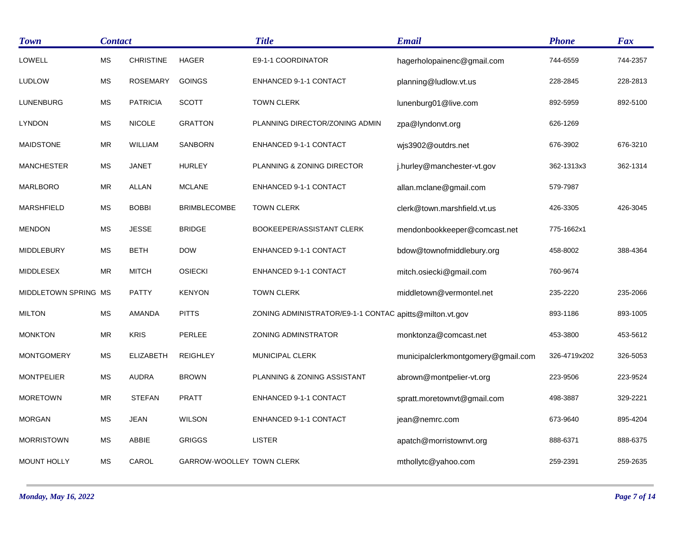| <b>Town</b>          | <b>Contact</b>       |                  |                           | <b>Title</b>                                            | <b>Email</b>                       | <b>Phone</b> | Fax      |
|----------------------|----------------------|------------------|---------------------------|---------------------------------------------------------|------------------------------------|--------------|----------|
| LOWELL               | <b>MS</b>            | <b>CHRISTINE</b> | <b>HAGER</b>              | E9-1-1 COORDINATOR                                      | hagerholopainenc@gmail.com         | 744-6559     | 744-2357 |
| <b>LUDLOW</b>        | <b>MS</b>            | <b>ROSEMARY</b>  | <b>GOINGS</b>             | ENHANCED 9-1-1 CONTACT                                  | planning@ludlow.vt.us              | 228-2845     | 228-2813 |
| <b>LUNENBURG</b>     | MS                   | <b>PATRICIA</b>  | <b>SCOTT</b>              | <b>TOWN CLERK</b>                                       | lunenburg01@live.com               | 892-5959     | 892-5100 |
| <b>LYNDON</b>        | <b>MS</b>            | <b>NICOLE</b>    | <b>GRATTON</b>            | PLANNING DIRECTOR/ZONING ADMIN                          | zpa@lyndonvt.org                   | 626-1269     |          |
| <b>MAIDSTONE</b>     | <b>MR</b>            | <b>WILLIAM</b>   | SANBORN                   | ENHANCED 9-1-1 CONTACT                                  | wjs3902@outdrs.net                 | 676-3902     | 676-3210 |
| <b>MANCHESTER</b>    | МS                   | <b>JANET</b>     | <b>HURLEY</b>             | PLANNING & ZONING DIRECTOR                              | j.hurley@manchester-vt.gov         | 362-1313x3   | 362-1314 |
| <b>MARLBORO</b>      | <b>MR</b>            | <b>ALLAN</b>     | <b>MCLANE</b>             | ENHANCED 9-1-1 CONTACT                                  | allan.mclane@gmail.com             | 579-7987     |          |
| <b>MARSHFIELD</b>    | $\mathsf{MS}\xspace$ | <b>BOBBI</b>     | <b>BRIMBLECOMBE</b>       | <b>TOWN CLERK</b>                                       | clerk@town.marshfield.vt.us        | 426-3305     | 426-3045 |
| <b>MENDON</b>        | <b>MS</b>            | <b>JESSE</b>     | <b>BRIDGE</b>             | BOOKEEPER/ASSISTANT CLERK                               | mendonbookkeeper@comcast.net       | 775-1662x1   |          |
| <b>MIDDLEBURY</b>    | MS                   | <b>BETH</b>      | <b>DOW</b>                | ENHANCED 9-1-1 CONTACT                                  | bdow@townofmiddlebury.org          | 458-8002     | 388-4364 |
| <b>MIDDLESEX</b>     | <b>MR</b>            | <b>MITCH</b>     | <b>OSIECKI</b>            | ENHANCED 9-1-1 CONTACT                                  | mitch.osiecki@gmail.com            | 760-9674     |          |
| MIDDLETOWN SPRING MS |                      | <b>PATTY</b>     | <b>KENYON</b>             | <b>TOWN CLERK</b>                                       | middletown@vermontel.net           | 235-2220     | 235-2066 |
| <b>MILTON</b>        | <b>MS</b>            | <b>AMANDA</b>    | <b>PITTS</b>              | ZONING ADMINISTRATOR/E9-1-1 CONTAC apitts@milton.vt.gov |                                    | 893-1186     | 893-1005 |
| <b>MONKTON</b>       | ${\sf MR}$           | <b>KRIS</b>      | PERLEE                    | <b>ZONING ADMINSTRATOR</b>                              | monktonza@comcast.net              | 453-3800     | 453-5612 |
| <b>MONTGOMERY</b>    | MS                   | <b>ELIZABETH</b> | <b>REIGHLEY</b>           | MUNICIPAL CLERK                                         | municipalclerkmontgomery@gmail.com | 326-4719x202 | 326-5053 |
| <b>MONTPELIER</b>    | <b>MS</b>            | <b>AUDRA</b>     | <b>BROWN</b>              | PLANNING & ZONING ASSISTANT                             | abrown@montpelier-vt.org           | 223-9506     | 223-9524 |
| <b>MORETOWN</b>      | ${\sf MR}$           | <b>STEFAN</b>    | <b>PRATT</b>              | ENHANCED 9-1-1 CONTACT                                  | spratt.moretownvt@gmail.com        | 498-3887     | 329-2221 |
| <b>MORGAN</b>        | <b>MS</b>            | <b>JEAN</b>      | <b>WILSON</b>             | ENHANCED 9-1-1 CONTACT                                  | jean@nemrc.com                     | 673-9640     | 895-4204 |
| <b>MORRISTOWN</b>    | <b>MS</b>            | ABBIE            | <b>GRIGGS</b>             | <b>LISTER</b>                                           | apatch@morristownvt.org            | 888-6371     | 888-6375 |
| <b>MOUNT HOLLY</b>   | <b>MS</b>            | CAROL            | GARROW-WOOLLEY TOWN CLERK |                                                         | mthollytc@yahoo.com                | 259-2391     | 259-2635 |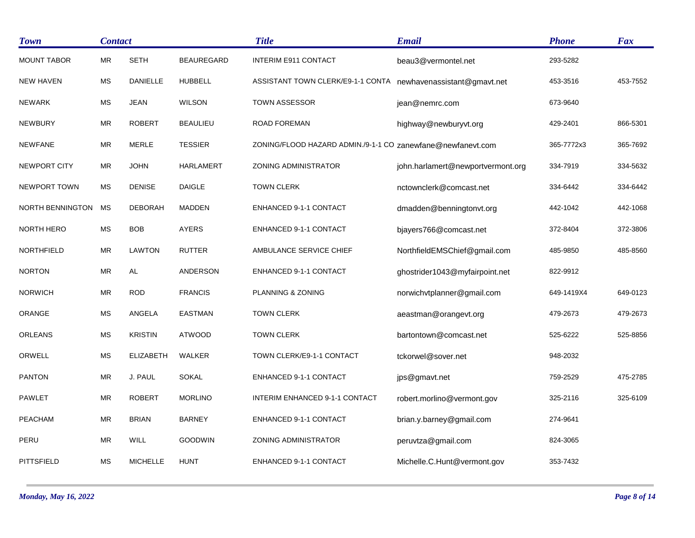| <b>Town</b>             | <b>Contact</b> |                  |                   | <b>Title</b>                                                | <b>Email</b>                      | <b>Phone</b> | <b>Fax</b> |
|-------------------------|----------------|------------------|-------------------|-------------------------------------------------------------|-----------------------------------|--------------|------------|
| <b>MOUNT TABOR</b>      | <b>MR</b>      | <b>SETH</b>      | <b>BEAUREGARD</b> | <b>INTERIM E911 CONTACT</b>                                 | beau3@vermontel.net               | 293-5282     |            |
| <b>NEW HAVEN</b>        | <b>MS</b>      | DANIELLE         | <b>HUBBELL</b>    | ASSISTANT TOWN CLERK/E9-1-1 CONTA                           | newhavenassistant@gmavt.net       | 453-3516     | 453-7552   |
| <b>NEWARK</b>           | <b>MS</b>      | <b>JEAN</b>      | <b>WILSON</b>     | <b>TOWN ASSESSOR</b>                                        | jean@nemrc.com                    | 673-9640     |            |
| <b>NEWBURY</b>          | ${\sf MR}$     | <b>ROBERT</b>    | <b>BEAULIEU</b>   | <b>ROAD FOREMAN</b>                                         | highway@newburyvt.org             | 429-2401     | 866-5301   |
| <b>NEWFANE</b>          | ${\sf MR}$     | <b>MERLE</b>     | <b>TESSIER</b>    | ZONING/FLOOD HAZARD ADMIN./9-1-1 CO zanewfane@newfanevt.com |                                   | 365-7772x3   | 365-7692   |
| NEWPORT CITY            | MR             | <b>JOHN</b>      | <b>HARLAMERT</b>  | <b>ZONING ADMINISTRATOR</b>                                 | john.harlamert@newportvermont.org | 334-7919     | 334-5632   |
| <b>NEWPORT TOWN</b>     | <b>MS</b>      | <b>DENISE</b>    | <b>DAIGLE</b>     | <b>TOWN CLERK</b>                                           | nctownclerk@comcast.net           | 334-6442     | 334-6442   |
| <b>NORTH BENNINGTON</b> | <b>MS</b>      | <b>DEBORAH</b>   | <b>MADDEN</b>     | ENHANCED 9-1-1 CONTACT                                      | dmadden@benningtonvt.org          | 442-1042     | 442-1068   |
| NORTH HERO              | <b>MS</b>      | <b>BOB</b>       | <b>AYERS</b>      | ENHANCED 9-1-1 CONTACT                                      | bjayers766@comcast.net            | 372-8404     | 372-3806   |
| NORTHFIELD              | MR             | <b>LAWTON</b>    | <b>RUTTER</b>     | AMBULANCE SERVICE CHIEF                                     | NorthfieldEMSChief@gmail.com      | 485-9850     | 485-8560   |
| <b>NORTON</b>           | ${\sf MR}$     | $\mathsf{AL}$    | <b>ANDERSON</b>   | ENHANCED 9-1-1 CONTACT                                      | ghostrider1043@myfairpoint.net    | 822-9912     |            |
| <b>NORWICH</b>          | ${\sf MR}$     | <b>ROD</b>       | <b>FRANCIS</b>    | PLANNING & ZONING                                           | norwichvtplanner@gmail.com        | 649-1419X4   | 649-0123   |
| ORANGE                  | <b>MS</b>      | ANGELA           | <b>EASTMAN</b>    | <b>TOWN CLERK</b>                                           | aeastman@orangevt.org             | 479-2673     | 479-2673   |
| <b>ORLEANS</b>          | MS             | <b>KRISTIN</b>   | <b>ATWOOD</b>     | <b>TOWN CLERK</b>                                           | bartontown@comcast.net            | 525-6222     | 525-8856   |
| ORWELL                  | <b>MS</b>      | <b>ELIZABETH</b> | WALKER            | TOWN CLERK/E9-1-1 CONTACT                                   | tckorwel@sover.net                | 948-2032     |            |
| <b>PANTON</b>           | <b>MR</b>      | J. PAUL          | <b>SOKAL</b>      | ENHANCED 9-1-1 CONTACT                                      | jps@gmavt.net                     | 759-2529     | 475-2785   |
| <b>PAWLET</b>           | ${\sf MR}$     | <b>ROBERT</b>    | <b>MORLINO</b>    | INTERIM ENHANCED 9-1-1 CONTACT                              | robert.morlino@vermont.gov        | 325-2116     | 325-6109   |
| <b>PEACHAM</b>          | MR             | <b>BRIAN</b>     | <b>BARNEY</b>     | ENHANCED 9-1-1 CONTACT                                      | brian.y.barney@gmail.com          | 274-9641     |            |
| PERU                    | ${\sf MR}$     | WILL             | <b>GOODWIN</b>    | <b>ZONING ADMINISTRATOR</b>                                 | peruvtza@gmail.com                | 824-3065     |            |
| PITTSFIELD              | <b>MS</b>      | <b>MICHELLE</b>  | <b>HUNT</b>       | ENHANCED 9-1-1 CONTACT                                      | Michelle.C.Hunt@vermont.gov       | 353-7432     |            |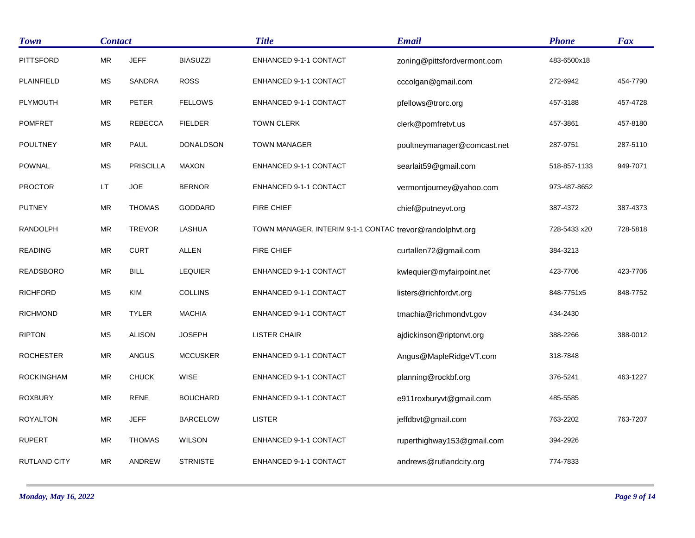| <b>Town</b>       | <b>Contact</b>       |                  |                  | <b>Title</b>                                             | <b>Email</b>                | <b>Phone</b> | <b>Fax</b> |
|-------------------|----------------------|------------------|------------------|----------------------------------------------------------|-----------------------------|--------------|------------|
| <b>PITTSFORD</b>  | ${\sf MR}$           | <b>JEFF</b>      | <b>BIASUZZI</b>  | ENHANCED 9-1-1 CONTACT                                   | zoning@pittsfordvermont.com | 483-6500x18  |            |
| PLAINFIELD        | <b>MS</b>            | <b>SANDRA</b>    | <b>ROSS</b>      | ENHANCED 9-1-1 CONTACT                                   | cccolgan@gmail.com          | 272-6942     | 454-7790   |
| PLYMOUTH          | ${\sf MR}$           | <b>PETER</b>     | <b>FELLOWS</b>   | ENHANCED 9-1-1 CONTACT                                   | pfellows@trorc.org          | 457-3188     | 457-4728   |
| <b>POMFRET</b>    | <b>MS</b>            | <b>REBECCA</b>   | <b>FIELDER</b>   | <b>TOWN CLERK</b>                                        | clerk@pomfretvt.us          | 457-3861     | 457-8180   |
| <b>POULTNEY</b>   | ${\sf MR}$           | PAUL             | <b>DONALDSON</b> | <b>TOWN MANAGER</b>                                      | poultneymanager@comcast.net | 287-9751     | 287-5110   |
| <b>POWNAL</b>     | $\mathsf{MS}\xspace$ | <b>PRISCILLA</b> | <b>MAXON</b>     | ENHANCED 9-1-1 CONTACT                                   | searlait59@gmail.com        | 518-857-1133 | 949-7071   |
| <b>PROCTOR</b>    | LT                   | <b>JOE</b>       | <b>BERNOR</b>    | ENHANCED 9-1-1 CONTACT                                   | vermontjourney@yahoo.com    | 973-487-8652 |            |
| <b>PUTNEY</b>     | <b>MR</b>            | <b>THOMAS</b>    | GODDARD          | <b>FIRE CHIEF</b>                                        | chief@putneyvt.org          | 387-4372     | 387-4373   |
| RANDOLPH          | ${\sf MR}$           | <b>TREVOR</b>    | LASHUA           | TOWN MANAGER, INTERIM 9-1-1 CONTAC trevor@randolphvt.org |                             | 728-5433 x20 | 728-5818   |
| <b>READING</b>    | <b>MR</b>            | <b>CURT</b>      | <b>ALLEN</b>     | <b>FIRE CHIEF</b>                                        | curtallen72@gmail.com       | 384-3213     |            |
| <b>READSBORO</b>  | ${\sf MR}$           | <b>BILL</b>      | <b>LEQUIER</b>   | ENHANCED 9-1-1 CONTACT                                   | kwlequier@myfairpoint.net   | 423-7706     | 423-7706   |
| <b>RICHFORD</b>   | <b>MS</b>            | KIM              | <b>COLLINS</b>   | ENHANCED 9-1-1 CONTACT                                   | listers@richfordvt.org      | 848-7751x5   | 848-7752   |
| <b>RICHMOND</b>   | ${\sf MR}$           | <b>TYLER</b>     | <b>MACHIA</b>    | ENHANCED 9-1-1 CONTACT                                   | tmachia@richmondvt.gov      | 434-2430     |            |
| <b>RIPTON</b>     | <b>MS</b>            | <b>ALISON</b>    | <b>JOSEPH</b>    | <b>LISTER CHAIR</b>                                      | ajdickinson@riptonvt.org    | 388-2266     | 388-0012   |
| <b>ROCHESTER</b>  | <b>MR</b>            | ANGUS            | <b>MCCUSKER</b>  | ENHANCED 9-1-1 CONTACT                                   | Angus@MapleRidgeVT.com      | 318-7848     |            |
| <b>ROCKINGHAM</b> | ${\sf MR}$           | <b>CHUCK</b>     | WISE             | ENHANCED 9-1-1 CONTACT                                   | planning@rockbf.org         | 376-5241     | 463-1227   |
| <b>ROXBURY</b>    | $\sf MR$             | <b>RENE</b>      | <b>BOUCHARD</b>  | ENHANCED 9-1-1 CONTACT                                   | e911roxburyvt@gmail.com     | 485-5585     |            |
| <b>ROYALTON</b>   | ${\sf MR}$           | <b>JEFF</b>      | <b>BARCELOW</b>  | <b>LISTER</b>                                            | jeffdbvt@gmail.com          | 763-2202     | 763-7207   |
| <b>RUPERT</b>     | ${\sf MR}$           | <b>THOMAS</b>    | <b>WILSON</b>    | <b>ENHANCED 9-1-1 CONTACT</b>                            | ruperthighway153@gmail.com  | 394-2926     |            |
| RUTLAND CITY      | ${\sf MR}$           | ANDREW           | <b>STRNISTE</b>  | ENHANCED 9-1-1 CONTACT                                   | andrews@rutlandcity.org     | 774-7833     |            |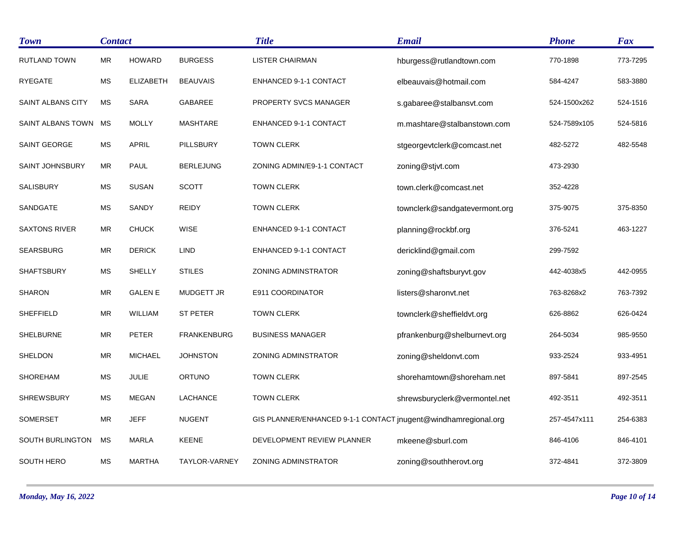| <b>Town</b>          |            | <b>Contact</b>   |                    | <b>Title</b>                                                   | <b>Email</b>                  | <b>Phone</b> | <b>Fax</b> |
|----------------------|------------|------------------|--------------------|----------------------------------------------------------------|-------------------------------|--------------|------------|
| <b>RUTLAND TOWN</b>  | ${\sf MR}$ | <b>HOWARD</b>    | <b>BURGESS</b>     | <b>LISTER CHAIRMAN</b>                                         | hburgess@rutlandtown.com      | 770-1898     | 773-7295   |
| <b>RYEGATE</b>       | <b>MS</b>  | <b>ELIZABETH</b> | <b>BEAUVAIS</b>    | ENHANCED 9-1-1 CONTACT                                         | elbeauvais@hotmail.com        | 584-4247     | 583-3880   |
| SAINT ALBANS CITY    | MS         | <b>SARA</b>      | GABAREE            | PROPERTY SVCS MANAGER                                          | s.gabaree@stalbansvt.com      | 524-1500x262 | 524-1516   |
| SAINT ALBANS TOWN    | MS         | <b>MOLLY</b>     | <b>MASHTARE</b>    | ENHANCED 9-1-1 CONTACT                                         | m.mashtare@stalbanstown.com   | 524-7589x105 | 524-5816   |
| <b>SAINT GEORGE</b>  | <b>MS</b>  | <b>APRIL</b>     | <b>PILLSBURY</b>   | <b>TOWN CLERK</b>                                              | stgeorgevtclerk@comcast.net   | 482-5272     | 482-5548   |
| SAINT JOHNSBURY      | MR         | <b>PAUL</b>      | <b>BERLEJUNG</b>   | ZONING ADMIN/E9-1-1 CONTACT                                    | zoning@stjvt.com              | 473-2930     |            |
| <b>SALISBURY</b>     | <b>MS</b>  | <b>SUSAN</b>     | <b>SCOTT</b>       | <b>TOWN CLERK</b>                                              | town.clerk@comcast.net        | 352-4228     |            |
| SANDGATE             | <b>MS</b>  | SANDY            | <b>REIDY</b>       | <b>TOWN CLERK</b>                                              | townclerk@sandgatevermont.org | 375-9075     | 375-8350   |
| <b>SAXTONS RIVER</b> | MR         | <b>CHUCK</b>     | <b>WISE</b>        | ENHANCED 9-1-1 CONTACT                                         | planning@rockbf.org           | 376-5241     | 463-1227   |
| <b>SEARSBURG</b>     | ${\sf MR}$ | <b>DERICK</b>    | <b>LIND</b>        | ENHANCED 9-1-1 CONTACT                                         | dericklind@gmail.com          | 299-7592     |            |
| <b>SHAFTSBURY</b>    | MS         | <b>SHELLY</b>    | <b>STILES</b>      | <b>ZONING ADMINSTRATOR</b>                                     | zoning@shaftsburyvt.gov       | 442-4038x5   | 442-0955   |
| <b>SHARON</b>        | ${\sf MR}$ | <b>GALEN E</b>   | <b>MUDGETT JR</b>  | E911 COORDINATOR                                               | listers@sharonvt.net          | 763-8268x2   | 763-7392   |
| <b>SHEFFIELD</b>     | <b>MR</b>  | <b>WILLIAM</b>   | <b>ST PETER</b>    | <b>TOWN CLERK</b>                                              | townclerk@sheffieldvt.org     | 626-8862     | 626-0424   |
| <b>SHELBURNE</b>     | ${\sf MR}$ | <b>PETER</b>     | <b>FRANKENBURG</b> | <b>BUSINESS MANAGER</b>                                        | pfrankenburg@shelburnevt.org  | 264-5034     | 985-9550   |
| SHELDON              | <b>MR</b>  | <b>MICHAEL</b>   | <b>JOHNSTON</b>    | ZONING ADMINSTRATOR                                            | zoning@sheldonvt.com          | 933-2524     | 933-4951   |
| <b>SHOREHAM</b>      | <b>MS</b>  | <b>JULIE</b>     | <b>ORTUNO</b>      | <b>TOWN CLERK</b>                                              | shorehamtown@shoreham.net     | 897-5841     | 897-2545   |
| <b>SHREWSBURY</b>    | <b>MS</b>  | <b>MEGAN</b>     | LACHANCE           | <b>TOWN CLERK</b>                                              | shrewsburyclerk@vermontel.net | 492-3511     | 492-3511   |
| <b>SOMERSET</b>      | ${\sf MR}$ | <b>JEFF</b>      | <b>NUGENT</b>      | GIS PLANNER/ENHANCED 9-1-1 CONTACT jnugent@windhamregional.org |                               | 257-4547x111 | 254-6383   |
| SOUTH BURLINGTON     | <b>MS</b>  | <b>MARLA</b>     | <b>KEENE</b>       | DEVELOPMENT REVIEW PLANNER                                     | mkeene@sburl.com              | 846-4106     | 846-4101   |
| SOUTH HERO           | MS         | <b>MARTHA</b>    | TAYLOR-VARNEY      | <b>ZONING ADMINSTRATOR</b>                                     | zoning@southherovt.org        | 372-4841     | 372-3809   |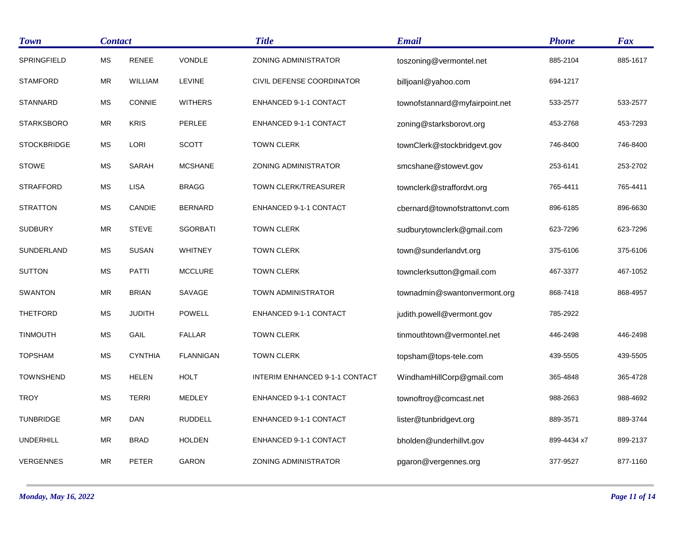| <b>Town</b>        | <b>Contact</b> |                |                  | <b>Title</b>                   | <b>Email</b>                   | <b>Phone</b> | Fax      |
|--------------------|----------------|----------------|------------------|--------------------------------|--------------------------------|--------------|----------|
| SPRINGFIELD        | <b>MS</b>      | <b>RENEE</b>   | <b>VONDLE</b>    | <b>ZONING ADMINISTRATOR</b>    | toszoning@vermontel.net        | 885-2104     | 885-1617 |
| <b>STAMFORD</b>    | MR             | WILLIAM        | LEVINE           | CIVIL DEFENSE COORDINATOR      | billjoanl@yahoo.com            | 694-1217     |          |
| <b>STANNARD</b>    | MS             | CONNIE         | <b>WITHERS</b>   | ENHANCED 9-1-1 CONTACT         | townofstannard@myfairpoint.net | 533-2577     | 533-2577 |
| <b>STARKSBORO</b>  | <b>MR</b>      | <b>KRIS</b>    | PERLEE           | ENHANCED 9-1-1 CONTACT         | zoning@starksborovt.org        | 453-2768     | 453-7293 |
| <b>STOCKBRIDGE</b> | <b>MS</b>      | LORI           | <b>SCOTT</b>     | <b>TOWN CLERK</b>              | townClerk@stockbridgevt.gov    | 746-8400     | 746-8400 |
| <b>STOWE</b>       | MS             | SARAH          | <b>MCSHANE</b>   | ZONING ADMINISTRATOR           | smcshane@stowevt.gov           | 253-6141     | 253-2702 |
| <b>STRAFFORD</b>   | <b>MS</b>      | <b>LISA</b>    | <b>BRAGG</b>     | TOWN CLERK/TREASURER           | townclerk@straffordvt.org      | 765-4411     | 765-4411 |
| <b>STRATTON</b>    | MS             | CANDIE         | <b>BERNARD</b>   | <b>ENHANCED 9-1-1 CONTACT</b>  | cbernard@townofstrattonyt.com  | 896-6185     | 896-6630 |
| <b>SUDBURY</b>     | <b>MR</b>      | <b>STEVE</b>   | <b>SGORBATI</b>  | <b>TOWN CLERK</b>              | sudburytownclerk@gmail.com     | 623-7296     | 623-7296 |
| SUNDERLAND         | MS             | <b>SUSAN</b>   | <b>WHITNEY</b>   | <b>TOWN CLERK</b>              | town@sunderlandvt.org          | 375-6106     | 375-6106 |
| <b>SUTTON</b>      | МS             | <b>PATTI</b>   | <b>MCCLURE</b>   | <b>TOWN CLERK</b>              | townclerksutton@gmail.com      | 467-3377     | 467-1052 |
| <b>SWANTON</b>     | <b>MR</b>      | <b>BRIAN</b>   | SAVAGE           | <b>TOWN ADMINISTRATOR</b>      | townadmin@swantonvermont.org   | 868-7418     | 868-4957 |
| <b>THETFORD</b>    | MS             | <b>JUDITH</b>  | <b>POWELL</b>    | ENHANCED 9-1-1 CONTACT         | judith.powell@vermont.gov      | 785-2922     |          |
| TINMOUTH           | MS             | GAIL           | <b>FALLAR</b>    | <b>TOWN CLERK</b>              | tinmouthtown@vermontel.net     | 446-2498     | 446-2498 |
| <b>TOPSHAM</b>     | МS             | <b>CYNTHIA</b> | <b>FLANNIGAN</b> | <b>TOWN CLERK</b>              | topsham@tops-tele.com          | 439-5505     | 439-5505 |
| <b>TOWNSHEND</b>   | MS             | <b>HELEN</b>   | <b>HOLT</b>      | INTERIM ENHANCED 9-1-1 CONTACT | WindhamHillCorp@gmail.com      | 365-4848     | 365-4728 |
| <b>TROY</b>        | <b>MS</b>      | <b>TERRI</b>   | <b>MEDLEY</b>    | ENHANCED 9-1-1 CONTACT         | townoftroy@comcast.net         | 988-2663     | 988-4692 |
| <b>TUNBRIDGE</b>   | <b>MR</b>      | <b>DAN</b>     | <b>RUDDELL</b>   | <b>ENHANCED 9-1-1 CONTACT</b>  | lister@tunbridgevt.org         | 889-3571     | 889-3744 |
| <b>UNDERHILL</b>   | <b>MR</b>      | <b>BRAD</b>    | <b>HOLDEN</b>    | ENHANCED 9-1-1 CONTACT         | bholden@underhillvt.gov        | 899-4434 x7  | 899-2137 |
| <b>VERGENNES</b>   | <b>MR</b>      | <b>PETER</b>   | <b>GARON</b>     | <b>ZONING ADMINISTRATOR</b>    | pgaron@vergennes.org           | 377-9527     | 877-1160 |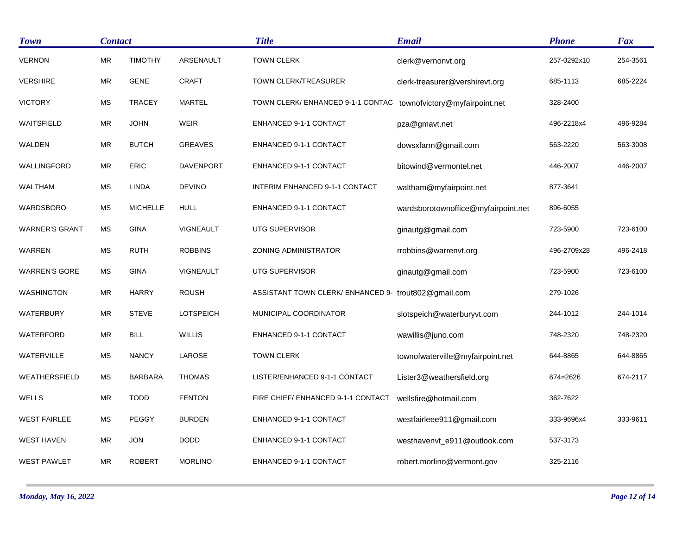| <b>Town</b>           |            | <b>Contact</b>  |                  | <b>Title</b>                                         | <b>Email</b>                        | <b>Phone</b> | <b>Fax</b> |
|-----------------------|------------|-----------------|------------------|------------------------------------------------------|-------------------------------------|--------------|------------|
| <b>VERNON</b>         | <b>MR</b>  | <b>TIMOTHY</b>  | ARSENAULT        | <b>TOWN CLERK</b>                                    | clerk@vernonvt.org                  | 257-0292x10  | 254-3561   |
| <b>VERSHIRE</b>       | MR         | <b>GENE</b>     | <b>CRAFT</b>     | TOWN CLERK/TREASURER                                 | clerk-treasurer@vershirevt.org      | 685-1113     | 685-2224   |
| <b>VICTORY</b>        | <b>MS</b>  | <b>TRACEY</b>   | <b>MARTEL</b>    | TOWN CLERK/ ENHANCED 9-1-1 CONTAC                    | townofvictory@myfairpoint.net       | 328-2400     |            |
| <b>WAITSFIELD</b>     | MR         | <b>JOHN</b>     | WEIR             | ENHANCED 9-1-1 CONTACT                               | pza@gmavt.net                       | 496-2218x4   | 496-9284   |
| WALDEN                | <b>MR</b>  | <b>BUTCH</b>    | <b>GREAVES</b>   | ENHANCED 9-1-1 CONTACT                               | dowsxfarm@gmail.com                 | 563-2220     | 563-3008   |
| WALLINGFORD           | <b>MR</b>  | <b>ERIC</b>     | <b>DAVENPORT</b> | ENHANCED 9-1-1 CONTACT                               | bitowind@vermontel.net              | 446-2007     | 446-2007   |
| <b>WALTHAM</b>        | MS         | <b>LINDA</b>    | <b>DEVINO</b>    | INTERIM ENHANCED 9-1-1 CONTACT                       | waltham@myfairpoint.net             | 877-3641     |            |
| WARDSBORO             | <b>MS</b>  | <b>MICHELLE</b> | <b>HULL</b>      | ENHANCED 9-1-1 CONTACT                               | wardsborotownoffice@myfairpoint.net | 896-6055     |            |
| <b>WARNER'S GRANT</b> | MS         | <b>GINA</b>     | <b>VIGNEAULT</b> | UTG SUPERVISOR                                       | ginautg@gmail.com                   | 723-5900     | 723-6100   |
| <b>WARREN</b>         | МS         | <b>RUTH</b>     | <b>ROBBINS</b>   | ZONING ADMINISTRATOR                                 | rrobbins@warrenvt.org               | 496-2709x28  | 496-2418   |
| <b>WARREN'S GORE</b>  | <b>MS</b>  | <b>GINA</b>     | <b>VIGNEAULT</b> | UTG SUPERVISOR                                       | ginautg@gmail.com                   | 723-5900     | 723-6100   |
| WASHINGTON            | MR         | <b>HARRY</b>    | <b>ROUSH</b>     | ASSISTANT TOWN CLERK/ ENHANCED 9- trout802@gmail.com |                                     | 279-1026     |            |
| WATERBURY             | <b>MR</b>  | <b>STEVE</b>    | <b>LOTSPEICH</b> | MUNICIPAL COORDINATOR                                | slotspeich@waterburyvt.com          | 244-1012     | 244-1014   |
| WATERFORD             | MR         | <b>BILL</b>     | <b>WILLIS</b>    | ENHANCED 9-1-1 CONTACT                               | wawillis@juno.com                   | 748-2320     | 748-2320   |
| WATERVILLE            | MS         | <b>NANCY</b>    | LAROSE           | <b>TOWN CLERK</b>                                    | townofwaterville@myfairpoint.net    | 644-8865     | 644-8865   |
| WEATHERSFIELD         | МS         | <b>BARBARA</b>  | <b>THOMAS</b>    | LISTER/ENHANCED 9-1-1 CONTACT                        | Lister3@weathersfield.org           | 674=2626     | 674-2117   |
| <b>WELLS</b>          | MR         | <b>TODD</b>     | <b>FENTON</b>    | FIRE CHIEF/ ENHANCED 9-1-1 CONTACT                   | wellsfire@hotmail.com               | 362-7622     |            |
| <b>WEST FAIRLEE</b>   | МS         | <b>PEGGY</b>    | <b>BURDEN</b>    | ENHANCED 9-1-1 CONTACT                               | westfairleee911@gmail.com           | 333-9696x4   | 333-9611   |
| <b>WEST HAVEN</b>     | ${\sf MR}$ | <b>JON</b>      | <b>DODD</b>      | <b>ENHANCED 9-1-1 CONTACT</b>                        | westhavenvt_e911@outlook.com        | 537-3173     |            |
| <b>WEST PAWLET</b>    | <b>MR</b>  | <b>ROBERT</b>   | <b>MORLINO</b>   | ENHANCED 9-1-1 CONTACT                               | robert.morlino@vermont.gov          | 325-2116     |            |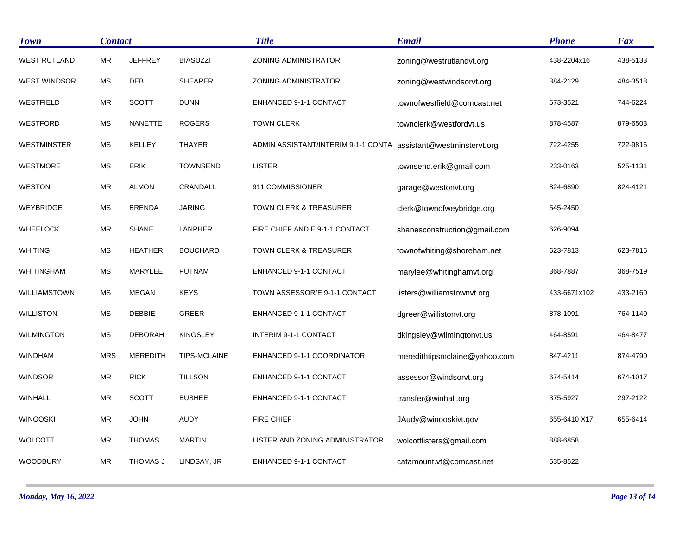| <b>Town</b>         | <b>Contact</b> |                 |                 | <b>Title</b>                        | <b>Email</b>                  | <b>Phone</b> | <b>Fax</b> |
|---------------------|----------------|-----------------|-----------------|-------------------------------------|-------------------------------|--------------|------------|
| <b>WEST RUTLAND</b> | <b>MR</b>      | <b>JEFFREY</b>  | <b>BIASUZZI</b> | <b>ZONING ADMINISTRATOR</b>         | zoning@westrutlandvt.org      | 438-2204x16  | 438-5133   |
| <b>WEST WINDSOR</b> | MS             | <b>DEB</b>      | <b>SHEARER</b>  | <b>ZONING ADMINISTRATOR</b>         | zoning@westwindsorvt.org      | 384-2129     | 484-3518   |
| WESTFIELD           | <b>MR</b>      | <b>SCOTT</b>    | <b>DUNN</b>     | ENHANCED 9-1-1 CONTACT              | townofwestfield@comcast.net   | 673-3521     | 744-6224   |
| <b>WESTFORD</b>     | <b>MS</b>      | <b>NANETTE</b>  | <b>ROGERS</b>   | <b>TOWN CLERK</b>                   | townclerk@westfordvt.us       | 878-4587     | 879-6503   |
| <b>WESTMINSTER</b>  | <b>MS</b>      | KELLEY          | THAYER          | ADMIN ASSISTANT/INTERIM 9-1-1 CONTA | assistant@westminstervt.org   | 722-4255     | 722-9816   |
| WESTMORE            | МS             | <b>ERIK</b>     | <b>TOWNSEND</b> | <b>LISTER</b>                       | townsend.erik@gmail.com       | 233-0163     | 525-1131   |
| <b>WESTON</b>       | MR             | <b>ALMON</b>    | CRANDALL        | 911 COMMISSIONER                    | garage@westonvt.org           | 824-6890     | 824-4121   |
| WEYBRIDGE           | <b>MS</b>      | <b>BRENDA</b>   | <b>JARING</b>   | TOWN CLERK & TREASURER              | clerk@townofweybridge.org     | 545-2450     |            |
| <b>WHEELOCK</b>     | MR             | <b>SHANE</b>    | LANPHER         | FIRE CHIEF AND E 9-1-1 CONTACT      | shanesconstruction@gmail.com  | 626-9094     |            |
| <b>WHITING</b>      | <b>MS</b>      | <b>HEATHER</b>  | <b>BOUCHARD</b> | TOWN CLERK & TREASURER              | townofwhiting@shoreham.net    | 623-7813     | 623-7815   |
| WHITINGHAM          | MS             | MARYLEE         | <b>PUTNAM</b>   | ENHANCED 9-1-1 CONTACT              | marylee@whitinghamvt.org      | 368-7887     | 368-7519   |
| WILLIAMSTOWN        | <b>MS</b>      | <b>MEGAN</b>    | <b>KEYS</b>     | TOWN ASSESSOR/E 9-1-1 CONTACT       | listers@williamstownvt.org    | 433-6671x102 | 433-2160   |
| <b>WILLISTON</b>    | <b>MS</b>      | <b>DEBBIE</b>   | GREER           | ENHANCED 9-1-1 CONTACT              | dgreer@willistonvt.org        | 878-1091     | 764-1140   |
| <b>WILMINGTON</b>   | МS             | <b>DEBORAH</b>  | <b>KINGSLEY</b> | <b>INTERIM 9-1-1 CONTACT</b>        | dkingsley@wilmingtonvt.us     | 464-8591     | 464-8477   |
| <b>WINDHAM</b>      | <b>MRS</b>     | <b>MEREDITH</b> | TIPS-MCLAINE    | ENHANCED 9-1-1 COORDINATOR          | meredithtipsmclaine@yahoo.com | 847-4211     | 874-4790   |
| <b>WINDSOR</b>      | <b>MR</b>      | <b>RICK</b>     | <b>TILLSON</b>  | ENHANCED 9-1-1 CONTACT              | assessor@windsorvt.org        | 674-5414     | 674-1017   |
| <b>WINHALL</b>      | MR             | <b>SCOTT</b>    | <b>BUSHEE</b>   | ENHANCED 9-1-1 CONTACT              | transfer@winhall.org          | 375-5927     | 297-2122   |
| <b>WINOOSKI</b>     | <b>MR</b>      | <b>JOHN</b>     | <b>AUDY</b>     | FIRE CHIEF                          | JAudy@winooskivt.gov          | 655-6410 X17 | 655-6414   |
| <b>WOLCOTT</b>      | <b>MR</b>      | <b>THOMAS</b>   | <b>MARTIN</b>   | LISTER AND ZONING ADMINISTRATOR     | wolcottlisters@gmail.com      | 888-6858     |            |
| WOODBURY            | MR             | THOMAS J        | LINDSAY, JR     | <b>ENHANCED 9-1-1 CONTACT</b>       | catamount.vt@comcast.net      | 535-8522     |            |